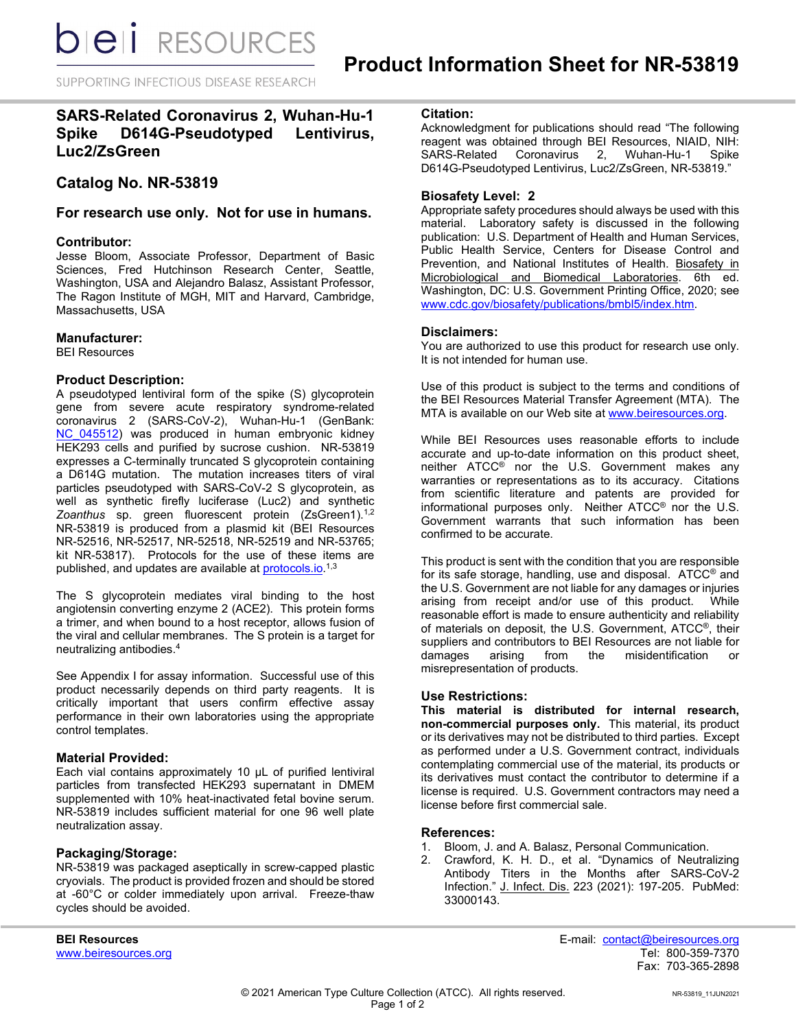*DIEI RESOURCES* 

SUPPORTING INFECTIOUS DISEASE RESEARCH

# **SARS-Related Coronavirus 2, Wuhan-Hu-1 Spike D614G-Pseudotyped Lentivirus, Luc2/ZsGreen**

## **Catalog No. NR-53819**

## **For research use only. Not for use in humans.**

#### **Contributor:**

Jesse Bloom, Associate Professor, Department of Basic Sciences, Fred Hutchinson Research Center, Seattle, Washington, USA and Alejandro Balasz, Assistant Professor, The Ragon Institute of MGH, MIT and Harvard, Cambridge, Massachusetts, USA

#### **Manufacturer:**

BEI Resources

#### **Product Description:**

A pseudotyped lentiviral form of the spike (S) glycoprotein gene from severe acute respiratory syndrome-related coronavirus 2 (SARS-CoV-2), Wuhan-Hu-1 (GenBank: NC 045512) was produced in human embryonic kidney HEK293 cells and purified by sucrose cushion. NR-53819 expresses a C-terminally truncated S glycoprotein containing a D614G mutation. The mutation increases titers of viral particles pseudotyped with SARS-CoV-2 S glycoprotein, as well as synthetic firefly luciferase (Luc2) and synthetic Zoanthus sp. green fluorescent protein (ZsGreen1).<sup>1,2</sup> NR-53819 is produced from a plasmid kit (BEI Resources NR-52516, NR-52517, NR-52518, NR-52519 and NR-53765; kit NR-53817). Protocols for the use of these items are published, and updates are available at <u>protocols.io</u>.<sup>1,3</sup>

The S glycoprotein mediates viral binding to the host angiotensin converting enzyme 2 (ACE2). This protein forms a trimer, and when bound to a host receptor, allows fusion of the viral and cellular membranes. The S protein is a target for neutralizing antibodies.4

See Appendix I for assay information. Successful use of this product necessarily depends on third party reagents. It is critically important that users confirm effective assay performance in their own laboratories using the appropriate control templates.

## **Material Provided:**

Each vial contains approximately 10 µL of purified lentiviral particles from transfected HEK293 supernatant in DMEM supplemented with 10% heat-inactivated fetal bovine serum. NR-53819 includes sufficient material for one 96 well plate neutralization assay.

## **Packaging/Storage:**

NR-53819 was packaged aseptically in screw-capped plastic cryovials. The product is provided frozen and should be stored at -60°C or colder immediately upon arrival. Freeze-thaw cycles should be avoided.

## **Citation:**

Acknowledgment for publications should read "The following reagent was obtained through BEI Resources, NIAID, NIH:<br>SARS-Related Coronavirus 2. Wuhan-Hu-1 Spike Coronavirus 2, Wuhan-Hu-1 Spike D614G-Pseudotyped Lentivirus, Luc2/ZsGreen, NR-53819."

#### **Biosafety Level: 2**

Appropriate safety procedures should always be used with this material. Laboratory safety is discussed in the following publication: U.S. Department of Health and Human Services, Public Health Service, Centers for Disease Control and Prevention, and National Institutes of Health. Biosafety in Microbiological and Biomedical Laboratories. 6th ed. Washington, DC: U.S. Government Printing Office, 2020; see [www.cdc.gov/biosafety/publications/bmbl5/index.htm.](http://www.cdc.gov/biosafety/publications/bmbl5/index.htm)

#### **Disclaimers:**

You are authorized to use this product for research use only. It is not intended for human use.

Use of this product is subject to the terms and conditions of the BEI Resources Material Transfer Agreement (MTA). The MTA is available on our Web site at [www.beiresources.org.](http://www.beiresources.org/)

While BEI Resources uses reasonable efforts to include accurate and up-to-date information on this product sheet, neither ATCC<sup>®</sup> nor the U.S. Government makes any warranties or representations as to its accuracy. Citations from scientific literature and patents are provided for informational purposes only. Neither ATCC® nor the U.S. Government warrants that such information has been confirmed to be accurate.

This product is sent with the condition that you are responsible for its safe storage, handling, use and disposal. ATCC® and the U.S. Government are not liable for any damages or injuries arising from receipt and/or use of this product. While reasonable effort is made to ensure authenticity and reliability of materials on deposit, the U.S. Government, ATCC®, their suppliers and contributors to BEI Resources are not liable for<br>damages arising from the misidentification or damages arising from the misidentification or misrepresentation of products.

#### **Use Restrictions:**

**This material is distributed for internal research, non-commercial purposes only.** This material, its product or its derivatives may not be distributed to third parties. Except as performed under a U.S. Government contract, individuals contemplating commercial use of the material, its products or its derivatives must contact the contributor to determine if a license is required. U.S. Government contractors may need a license before first commercial sale.

#### **References:**

- 1. Bloom, J. and A. Balasz, Personal Communication.
- 2. Crawford, K. H. D., et al. "Dynamics of Neutralizing Antibody Titers in the Months after SARS-CoV-2 Infection." J. Infect. Dis. 223 (2021): 197-205. PubMed: 33000143.

**BEI Resources** E-mail: contact@beiresources.org Fax: 703-365-2898